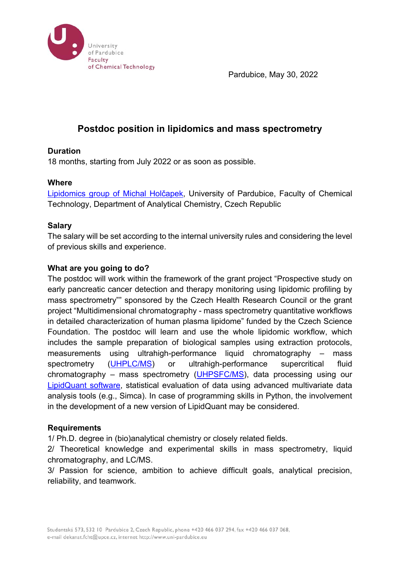

Pardubice, May 30, 2022

# **Postdoc position in lipidomics and mass spectrometry**

## **Duration**

18 months, starting from July 2022 or as soon as possible.

### **Where**

Lipidomics group of Michal Holčapek, University of Pardubice, Faculty of Chemical Technology, Department of Analytical Chemistry, Czech Republic

### **Salary**

The salary will be set according to the internal university rules and considering the level of previous skills and experience.

### **What are you going to do?**

The postdoc will work within the framework of the grant project "Prospective study on early pancreatic cancer detection and therapy monitoring using lipidomic profiling by mass spectrometry"" sponsored by the Czech Health Research Council or the grant project "Multidimensional chromatography - mass spectrometry quantitative workflows in detailed characterization of human plasma lipidome" funded by the Czech Science Foundation. The postdoc will learn and use the whole lipidomic workflow, which includes the sample preparation of biological samples using extraction protocols, measurements using ultrahigh-performance liquid chromatography – mass spectrometry (UHPLC/MS) or ultrahigh-performance supercritical fluid chromatography – mass spectrometry (UHPSFC/MS), data processing using our LipidQuant software, statistical evaluation of data using advanced multivariate data analysis tools (e.g., Simca). In case of programming skills in Python, the involvement in the development of a new version of LipidQuant may be considered.

#### **Requirements**

1/ Ph.D. degree in (bio)analytical chemistry or closely related fields.

2/ Theoretical knowledge and experimental skills in mass spectrometry, liquid chromatography, and LC/MS.

3/ Passion for science, ambition to achieve difficult goals, analytical precision, reliability, and teamwork.